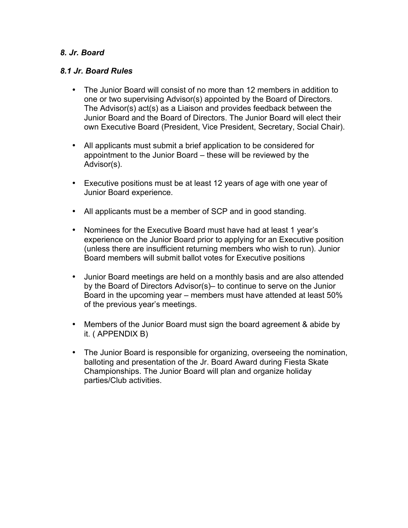### *8. Jr. Board*

### *8.1 Jr. Board Rules*

- The Junior Board will consist of no more than 12 members in addition to one or two supervising Advisor(s) appointed by the Board of Directors. The Advisor(s) act(s) as a Liaison and provides feedback between the Junior Board and the Board of Directors. The Junior Board will elect their own Executive Board (President, Vice President, Secretary, Social Chair).
- All applicants must submit a brief application to be considered for appointment to the Junior Board – these will be reviewed by the Advisor(s).
- Executive positions must be at least 12 years of age with one year of Junior Board experience.
- All applicants must be a member of SCP and in good standing.
- Nominees for the Executive Board must have had at least 1 year's experience on the Junior Board prior to applying for an Executive position (unless there are insufficient returning members who wish to run). Junior Board members will submit ballot votes for Executive positions
- Junior Board meetings are held on a monthly basis and are also attended by the Board of Directors Advisor(s)– to continue to serve on the Junior Board in the upcoming year – members must have attended at least 50% of the previous year's meetings.
- Members of the Junior Board must sign the board agreement & abide by it. ( APPENDIX B)
- The Junior Board is responsible for organizing, overseeing the nomination, balloting and presentation of the Jr. Board Award during Fiesta Skate Championships. The Junior Board will plan and organize holiday parties/Club activities.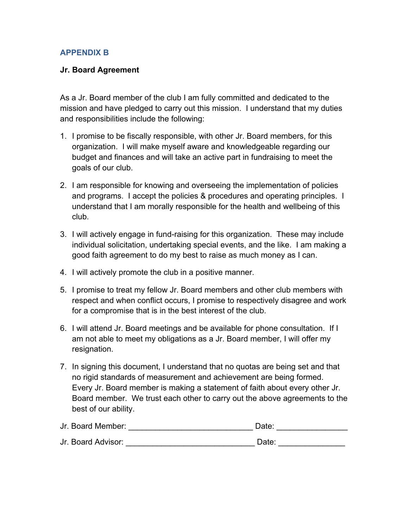# **APPENDIX B**

### **Jr. Board Agreement**

As a Jr. Board member of the club I am fully committed and dedicated to the mission and have pledged to carry out this mission. I understand that my duties and responsibilities include the following:

- 1. I promise to be fiscally responsible, with other Jr. Board members, for this organization. I will make myself aware and knowledgeable regarding our budget and finances and will take an active part in fundraising to meet the goals of our club.
- 2. I am responsible for knowing and overseeing the implementation of policies and programs. I accept the policies & procedures and operating principles. I understand that I am morally responsible for the health and wellbeing of this club.
- 3. I will actively engage in fund-raising for this organization. These may include individual solicitation, undertaking special events, and the like. I am making a good faith agreement to do my best to raise as much money as I can.
- 4. I will actively promote the club in a positive manner.
- 5. I promise to treat my fellow Jr. Board members and other club members with respect and when conflict occurs, I promise to respectively disagree and work for a compromise that is in the best interest of the club.
- 6. I will attend Jr. Board meetings and be available for phone consultation. If I am not able to meet my obligations as a Jr. Board member, I will offer my resignation.
- 7. In signing this document, I understand that no quotas are being set and that no rigid standards of measurement and achievement are being formed. Every Jr. Board member is making a statement of faith about every other Jr. Board member. We trust each other to carry out the above agreements to the best of our ability.

| Jr. Board Member:  | Date: |  |
|--------------------|-------|--|
| Jr. Board Advisor: | Date: |  |